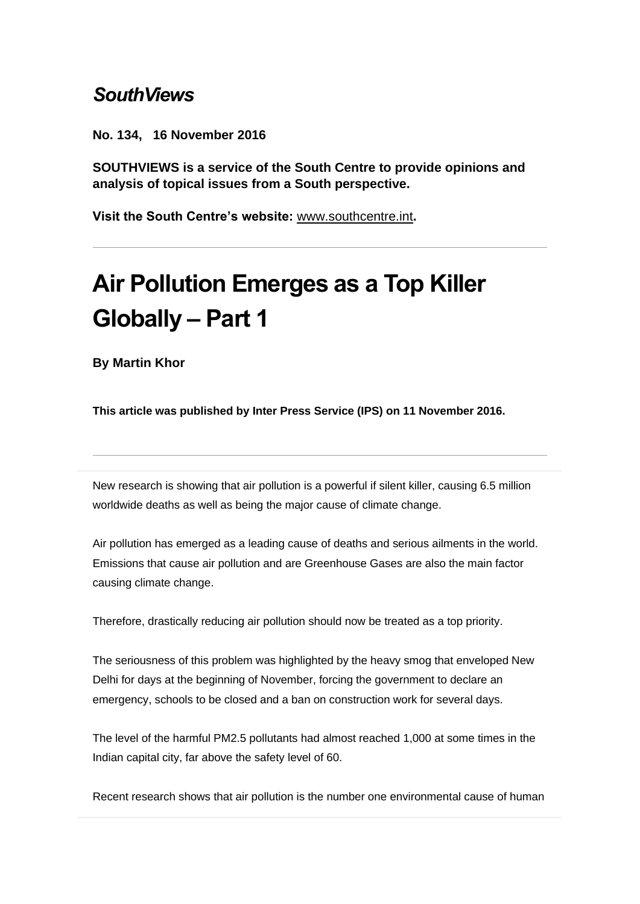## *SouthViews*

**No. 134, 16 November 2016**

**SOUTHVIEWS is a service of the South Centre to provide opinions and analysis of topical issues from a South perspective.**

**Visit the South Centre's website:** [www.southcentre.int](http://southcentre.us5.list-manage1.com/track/click?u=fa9cf38799136b5660f367ba6&id=cf76ad7be6&e=0ba6f79724)**.**

## **Air Pollution Emerges as a Top Killer Globally – Part 1**

**By Martin Khor**

**This article was published by Inter Press Service (IPS) on 11 November 2016.** 

New research is showing that air pollution is a powerful if silent killer, causing 6.5 million worldwide deaths as well as being the major cause of climate change.

Air pollution has emerged as a leading cause of deaths and serious ailments in the world. Emissions that cause air pollution and are Greenhouse Gases are also the main factor causing climate change.

Therefore, drastically reducing air pollution should now be treated as a top priority.

The seriousness of this problem was highlighted by the heavy smog that enveloped New Delhi for days at the beginning of November, forcing the government to declare an emergency, schools to be closed and a ban on construction work for several days.

The level of the harmful PM2.5 pollutants had almost reached 1,000 at some times in the Indian capital city, far above the safety level of 60.

Recent research shows that air pollution is the number one environmental cause of human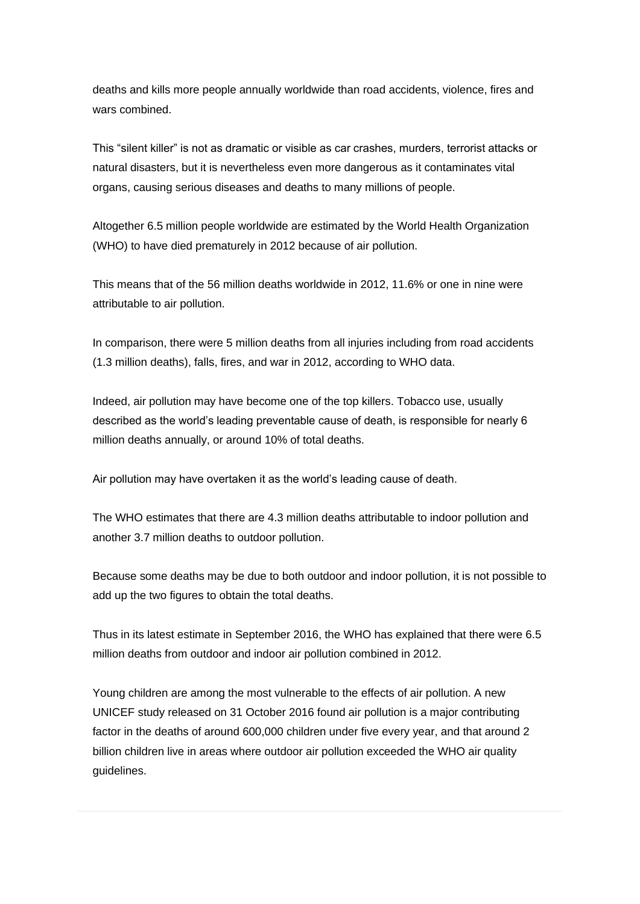deaths and kills more people annually worldwide than road accidents, violence, fires and wars combined.

This "silent killer" is not as dramatic or visible as car crashes, murders, terrorist attacks or natural disasters, but it is nevertheless even more dangerous as it contaminates vital organs, causing serious diseases and deaths to many millions of people.

Altogether 6.5 million people worldwide are estimated by the World Health Organization (WHO) to have died prematurely in 2012 because of air pollution.

This means that of the 56 million deaths worldwide in 2012, 11.6% or one in nine were attributable to air pollution.

In comparison, there were 5 million deaths from all injuries including from road accidents (1.3 million deaths), falls, fires, and war in 2012, according to WHO data.

Indeed, air pollution may have become one of the top killers. Tobacco use, usually described as the world's leading preventable cause of death, is responsible for nearly 6 million deaths annually, or around 10% of total deaths.

Air pollution may have overtaken it as the world's leading cause of death.

The WHO estimates that there are 4.3 million deaths attributable to indoor pollution and another 3.7 million deaths to outdoor pollution.

Because some deaths may be due to both outdoor and indoor pollution, it is not possible to add up the two figures to obtain the total deaths.

Thus in its latest estimate in September 2016, the WHO has explained that there were 6.5 million deaths from outdoor and indoor air pollution combined in 2012.

Young children are among the most vulnerable to the effects of air pollution. A new UNICEF study released on 31 October 2016 found air pollution is a major contributing factor in the deaths of around 600,000 children under five every year, and that around 2 billion children live in areas where outdoor air pollution exceeded the WHO air quality guidelines.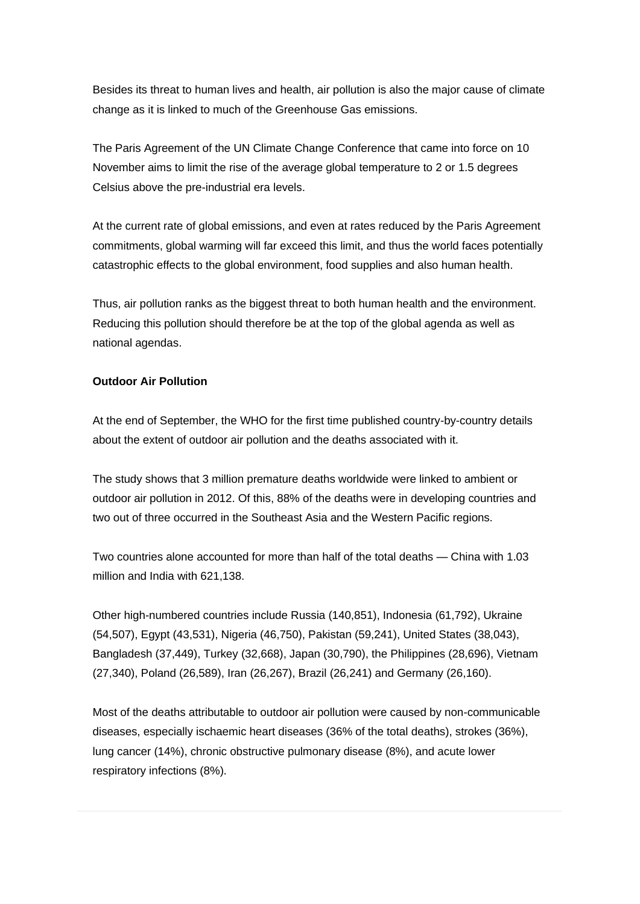Besides its threat to human lives and health, air pollution is also the major cause of climate change as it is linked to much of the Greenhouse Gas emissions.

The Paris Agreement of the UN Climate Change Conference that came into force on 10 November aims to limit the rise of the average global temperature to 2 or 1.5 degrees Celsius above the pre-industrial era levels.

At the current rate of global emissions, and even at rates reduced by the Paris Agreement commitments, global warming will far exceed this limit, and thus the world faces potentially catastrophic effects to the global environment, food supplies and also human health.

Thus, air pollution ranks as the biggest threat to both human health and the environment. Reducing this pollution should therefore be at the top of the global agenda as well as national agendas.

## **Outdoor Air Pollution**

At the end of September, the WHO for the first time published country-by-country details about the extent of outdoor air pollution and the deaths associated with it.

The study shows that 3 million premature deaths worldwide were linked to ambient or outdoor air pollution in 2012. Of this, 88% of the deaths were in developing countries and two out of three occurred in the Southeast Asia and the Western Pacific regions.

Two countries alone accounted for more than half of the total deaths — China with 1.03 million and India with 621,138.

Other high-numbered countries include Russia (140,851), Indonesia (61,792), Ukraine (54,507), Egypt (43,531), Nigeria (46,750), Pakistan (59,241), United States (38,043), Bangladesh (37,449), Turkey (32,668), Japan (30,790), the Philippines (28,696), Vietnam (27,340), Poland (26,589), Iran (26,267), Brazil (26,241) and Germany (26,160).

Most of the deaths attributable to outdoor air pollution were caused by non-communicable diseases, especially ischaemic heart diseases (36% of the total deaths), strokes (36%), lung cancer (14%), chronic obstructive pulmonary disease (8%), and acute lower respiratory infections (8%).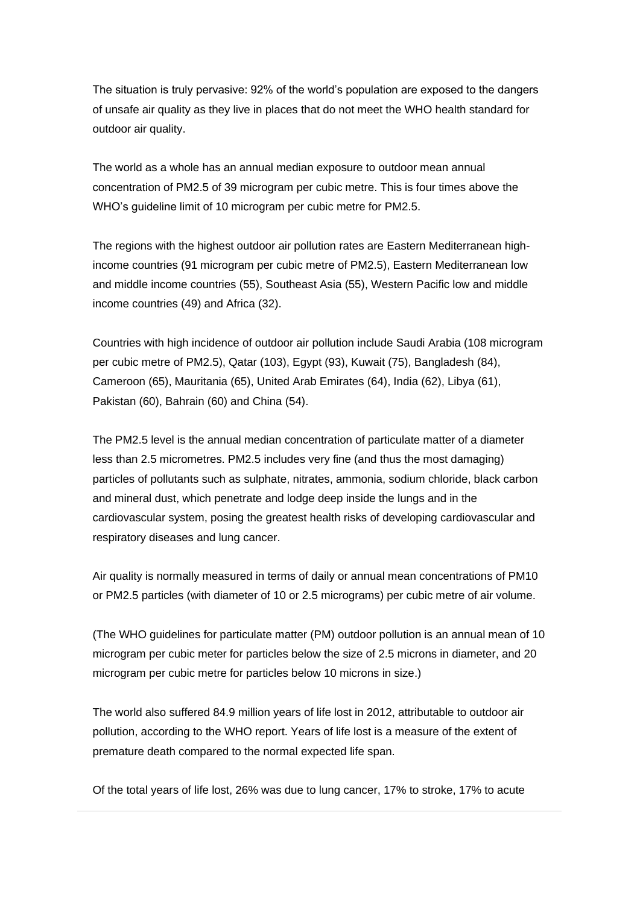The situation is truly pervasive: 92% of the world's population are exposed to the dangers of unsafe air quality as they live in places that do not meet the WHO health standard for outdoor air quality.

The world as a whole has an annual median exposure to outdoor mean annual concentration of PM2.5 of 39 microgram per cubic metre. This is four times above the WHO's guideline limit of 10 microgram per cubic metre for PM2.5.

The regions with the highest outdoor air pollution rates are Eastern Mediterranean highincome countries (91 microgram per cubic metre of PM2.5), Eastern Mediterranean low and middle income countries (55), Southeast Asia (55), Western Pacific low and middle income countries (49) and Africa (32).

Countries with high incidence of outdoor air pollution include Saudi Arabia (108 microgram per cubic metre of PM2.5), Qatar (103), Egypt (93), Kuwait (75), Bangladesh (84), Cameroon (65), Mauritania (65), United Arab Emirates (64), India (62), Libya (61), Pakistan (60), Bahrain (60) and China (54).

The PM2.5 level is the annual median concentration of particulate matter of a diameter less than 2.5 micrometres. PM2.5 includes very fine (and thus the most damaging) particles of pollutants such as sulphate, nitrates, ammonia, sodium chloride, black carbon and mineral dust, which penetrate and lodge deep inside the lungs and in the cardiovascular system, posing the greatest health risks of developing cardiovascular and respiratory diseases and lung cancer.

Air quality is normally measured in terms of daily or annual mean concentrations of PM10 or PM2.5 particles (with diameter of 10 or 2.5 micrograms) per cubic metre of air volume.

(The WHO guidelines for particulate matter (PM) outdoor pollution is an annual mean of 10 microgram per cubic meter for particles below the size of 2.5 microns in diameter, and 20 microgram per cubic metre for particles below 10 microns in size.)

The world also suffered 84.9 million years of life lost in 2012, attributable to outdoor air pollution, according to the WHO report. Years of life lost is a measure of the extent of premature death compared to the normal expected life span.

Of the total years of life lost, 26% was due to lung cancer, 17% to stroke, 17% to acute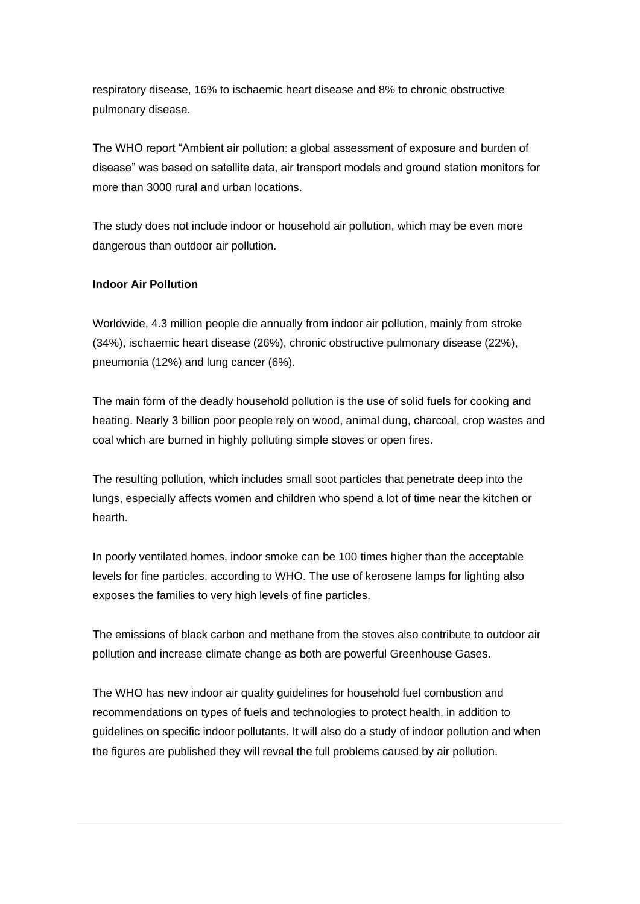respiratory disease, 16% to ischaemic heart disease and 8% to chronic obstructive pulmonary disease.

The WHO report "Ambient air pollution: a global assessment of exposure and burden of disease" was based on satellite data, air transport models and ground station monitors for more than 3000 rural and urban locations.

The study does not include indoor or household air pollution, which may be even more dangerous than outdoor air pollution.

## **Indoor Air Pollution**

Worldwide, 4.3 million people die annually from indoor air pollution, mainly from stroke (34%), ischaemic heart disease (26%), chronic obstructive pulmonary disease (22%), pneumonia (12%) and lung cancer (6%).

The main form of the deadly household pollution is the use of solid fuels for cooking and heating. Nearly 3 billion poor people rely on wood, animal dung, charcoal, crop wastes and coal which are burned in highly polluting simple stoves or open fires.

The resulting pollution, which includes small soot particles that penetrate deep into the lungs, especially affects women and children who spend a lot of time near the kitchen or hearth.

In poorly ventilated homes, indoor smoke can be 100 times higher than the acceptable levels for fine particles, according to WHO. The use of kerosene lamps for lighting also exposes the families to very high levels of fine particles.

The emissions of black carbon and methane from the stoves also contribute to outdoor air pollution and increase climate change as both are powerful Greenhouse Gases.

The WHO has new indoor air quality guidelines for household fuel combustion and recommendations on types of fuels and technologies to protect health, in addition to guidelines on specific indoor pollutants. It will also do a study of indoor pollution and when the figures are published they will reveal the full problems caused by air pollution.